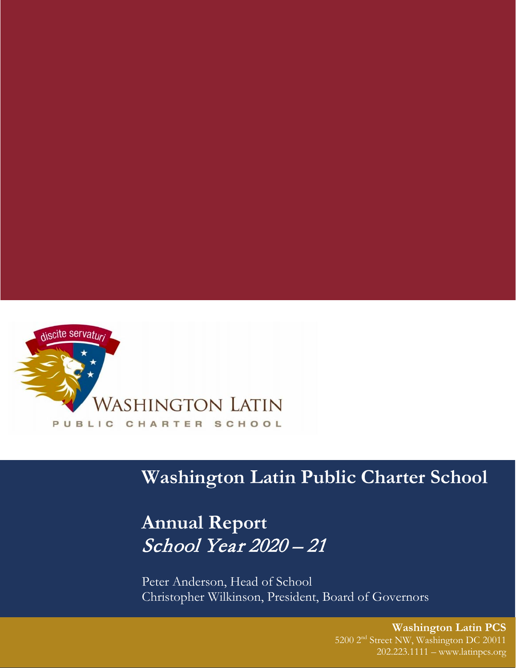

# **Washington Latin Public Charter School**

# **Annual Report** School Year 2020 – 21

Peter Anderson, Head of School Christopher Wilkinson, President, Board of Governors

> **Washington Latin PCS** 5200 2nd Street NW, Washington DC 20011 202.223.1111 – www.latinpcs.org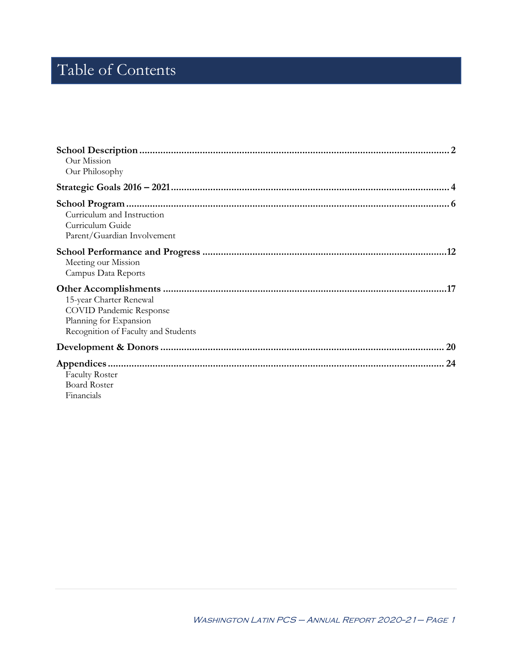# Table of Contents

| Our Mission                                                                                                                |           |
|----------------------------------------------------------------------------------------------------------------------------|-----------|
| Our Philosophy                                                                                                             |           |
|                                                                                                                            |           |
| Curriculum and Instruction<br>Curriculum Guide<br>Parent/Guardian Involvement                                              |           |
| Meeting our Mission<br>Campus Data Reports                                                                                 |           |
| 15-year Charter Renewal<br><b>COVID Pandemic Response</b><br>Planning for Expansion<br>Recognition of Faculty and Students |           |
|                                                                                                                            | <b>20</b> |
|                                                                                                                            |           |
| <b>Faculty Roster</b><br><b>Board Roster</b><br>Financials                                                                 |           |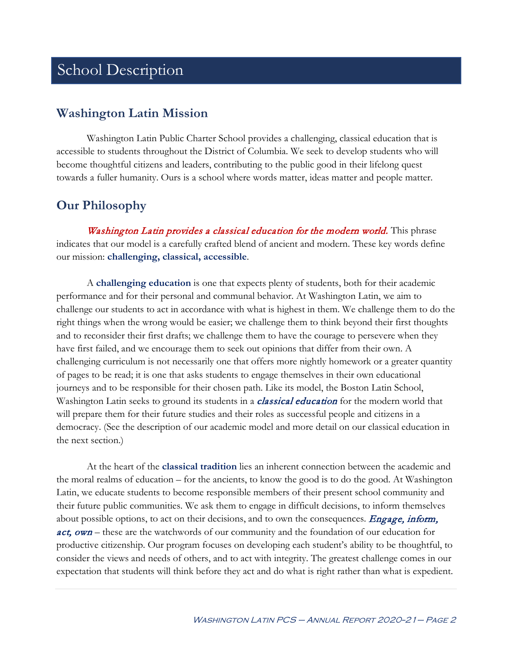## School Description

## **Washington Latin Mission**

Washington Latin Public Charter School provides a challenging, classical education that is accessible to students throughout the District of Columbia. We seek to develop students who will become thoughtful citizens and leaders, contributing to the public good in their lifelong quest towards a fuller humanity. Ours is a school where words matter, ideas matter and people matter.

## **Our Philosophy**

Washington Latin provides a classical education for the modern world. This phrase indicates that our model is a carefully crafted blend of ancient and modern. These key words define our mission: **challenging, classical, accessible**.

A **challenging education** is one that expects plenty of students, both for their academic performance and for their personal and communal behavior. At Washington Latin, we aim to challenge our students to act in accordance with what is highest in them. We challenge them to do the right things when the wrong would be easier; we challenge them to think beyond their first thoughts and to reconsider their first drafts; we challenge them to have the courage to persevere when they have first failed, and we encourage them to seek out opinions that differ from their own. A challenging curriculum is not necessarily one that offers more nightly homework or a greater quantity of pages to be read; it is one that asks students to engage themselves in their own educational journeys and to be responsible for their chosen path. Like its model, the Boston Latin School, Washington Latin seeks to ground its students in a *classical education* for the modern world that will prepare them for their future studies and their roles as successful people and citizens in a democracy. (See the description of our academic model and more detail on our classical education in the next section.)

At the heart of the **classical tradition** lies an inherent connection between the academic and the moral realms of education – for the ancients, to know the good is to do the good. At Washington Latin, we educate students to become responsible members of their present school community and their future public communities. We ask them to engage in difficult decisions, to inform themselves about possible options, to act on their decisions, and to own the consequences. Engage, inform, act, own – these are the watchwords of our community and the foundation of our education for productive citizenship. Our program focuses on developing each student's ability to be thoughtful, to consider the views and needs of others, and to act with integrity. The greatest challenge comes in our expectation that students will think before they act and do what is right rather than what is expedient.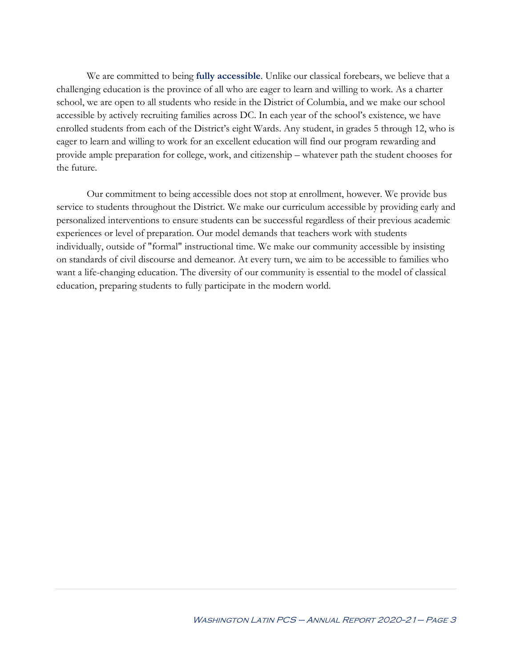We are committed to being **fully accessible**. Unlike our classical forebears, we believe that a challenging education is the province of all who are eager to learn and willing to work. As a charter school, we are open to all students who reside in the District of Columbia, and we make our school accessible by actively recruiting families across DC. In each year of the school's existence, we have enrolled students from each of the District's eight Wards. Any student, in grades 5 through 12, who is eager to learn and willing to work for an excellent education will find our program rewarding and provide ample preparation for college, work, and citizenship – whatever path the student chooses for the future.

Our commitment to being accessible does not stop at enrollment, however. We provide bus service to students throughout the District. We make our curriculum accessible by providing early and personalized interventions to ensure students can be successful regardless of their previous academic experiences or level of preparation. Our model demands that teachers work with students individually, outside of "formal" instructional time. We make our community accessible by insisting on standards of civil discourse and demeanor. At every turn, we aim to be accessible to families who want a life-changing education. The diversity of our community is essential to the model of classical education, preparing students to fully participate in the modern world.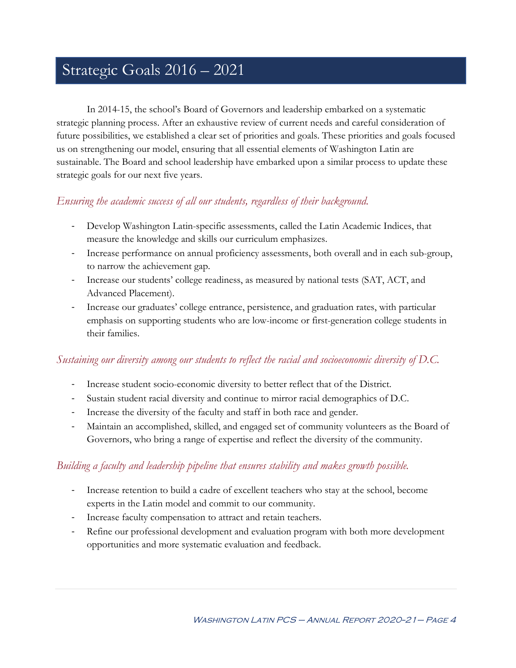## Strategic Goals 2016 – 2021

In 2014-15, the school's Board of Governors and leadership embarked on a systematic strategic planning process. After an exhaustive review of current needs and careful consideration of future possibilities, we established a clear set of priorities and goals. These priorities and goals focused us on strengthening our model, ensuring that all essential elements of Washington Latin are sustainable. The Board and school leadership have embarked upon a similar process to update these strategic goals for our next five years.

## *Ensuring the academic success of all our students, regardless of their background.*

- Develop Washington Latin-specific assessments, called the Latin Academic Indices, that measure the knowledge and skills our curriculum emphasizes.
- Increase performance on annual proficiency assessments, both overall and in each sub-group, to narrow the achievement gap.
- Increase our students' college readiness, as measured by national tests (SAT, ACT, and Advanced Placement).
- Increase our graduates' college entrance, persistence, and graduation rates, with particular emphasis on supporting students who are low-income or first-generation college students in their families.

## *Sustaining our diversity among our students to reflect the racial and socioeconomic diversity of D.C.*

- Increase student socio-economic diversity to better reflect that of the District.
- Sustain student racial diversity and continue to mirror racial demographics of D.C.
- Increase the diversity of the faculty and staff in both race and gender.
- Maintain an accomplished, skilled, and engaged set of community volunteers as the Board of Governors, who bring a range of expertise and reflect the diversity of the community.

## *Building a faculty and leadership pipeline that ensures stability and makes growth possible.*

- Increase retention to build a cadre of excellent teachers who stay at the school, become experts in the Latin model and commit to our community.
- Increase faculty compensation to attract and retain teachers.
- Refine our professional development and evaluation program with both more development opportunities and more systematic evaluation and feedback.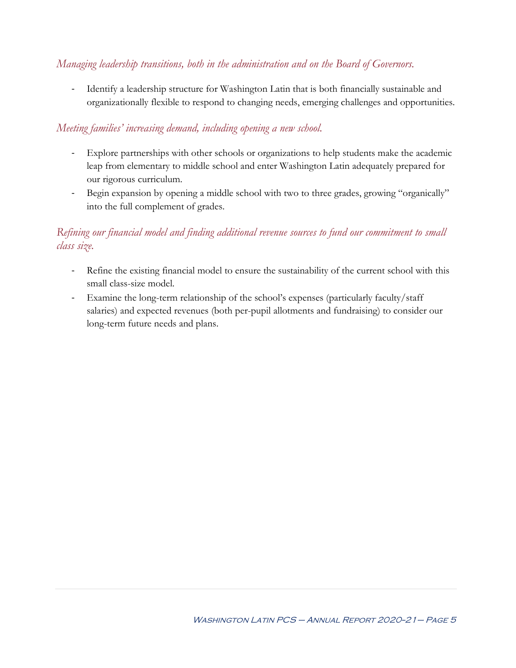## *Managing leadership transitions, both in the administration and on the Board of Governors.*

- Identify a leadership structure for Washington Latin that is both financially sustainable and organizationally flexible to respond to changing needs, emerging challenges and opportunities.

## *Meeting families' increasing demand, including opening a new school.*

- Explore partnerships with other schools or organizations to help students make the academic leap from elementary to middle school and enter Washington Latin adequately prepared for our rigorous curriculum.
- Begin expansion by opening a middle school with two to three grades, growing "organically" into the full complement of grades.

## *Refining our financial model and finding additional revenue sources to fund our commitment to small class size.*

- Refine the existing financial model to ensure the sustainability of the current school with this small class-size model.
- Examine the long-term relationship of the school's expenses (particularly faculty/staff salaries) and expected revenues (both per-pupil allotments and fundraising) to consider our long-term future needs and plans.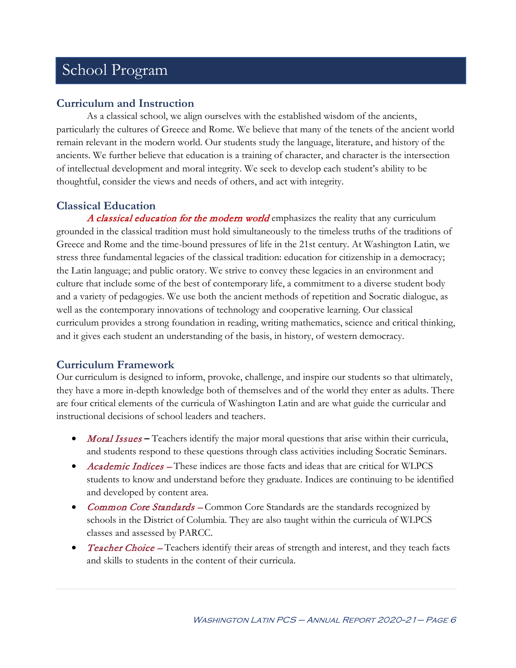## School Program

### **Curriculum and Instruction**

As a classical school, we align ourselves with the established wisdom of the ancients, particularly the cultures of Greece and Rome. We believe that many of the tenets of the ancient world remain relevant in the modern world. Our students study the language, literature, and history of the ancients. We further believe that education is a training of character, and character is the intersection of intellectual development and moral integrity. We seek to develop each student's ability to be thoughtful, consider the views and needs of others, and act with integrity.

## **Classical Education**

A classical education for the modern world emphasizes the reality that any curriculum grounded in the classical tradition must hold simultaneously to the timeless truths of the traditions of Greece and Rome and the time-bound pressures of life in the 21st century. At Washington Latin, we stress three fundamental legacies of the classical tradition: education for citizenship in a democracy; the Latin language; and public oratory. We strive to convey these legacies in an environment and culture that include some of the best of contemporary life, a commitment to a diverse student body and a variety of pedagogies. We use both the ancient methods of repetition and Socratic dialogue, as well as the contemporary innovations of technology and cooperative learning. Our classical curriculum provides a strong foundation in reading, writing mathematics, science and critical thinking, and it gives each student an understanding of the basis, in history, of western democracy.

## **Curriculum Framework**

Our curriculum is designed to inform, provoke, challenge, and inspire our students so that ultimately, they have a more in-depth knowledge both of themselves and of the world they enter as adults. There are four critical elements of the curricula of Washington Latin and are what guide the curricular and instructional decisions of school leaders and teachers.

- *Moral Issues* Teachers identify the major moral questions that arise within their curricula, and students respond to these questions through class activities including Socratic Seminars.
- Academic Indices These indices are those facts and ideas that are critical for WLPCS students to know and understand before they graduate. Indices are continuing to be identified and developed by content area.
- Common Core Standards Common Core Standards are the standards recognized by schools in the District of Columbia. They are also taught within the curricula of WLPCS classes and assessed by PARCC.
- Teacher Choice Teachers identify their areas of strength and interest, and they teach facts and skills to students in the content of their curricula.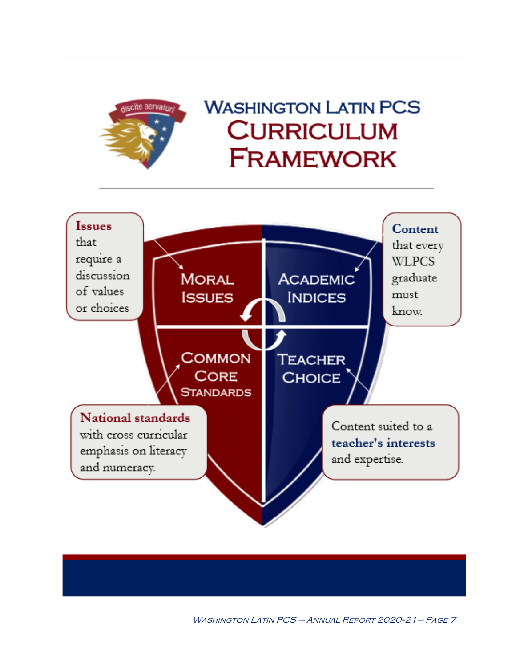

# **WASHINGTON LATIN PCS CURRICULUM FRAMEWORK**



WASHINGTON LATIN PCS – ANNUAL REPORT 2020-21 – PAGE 7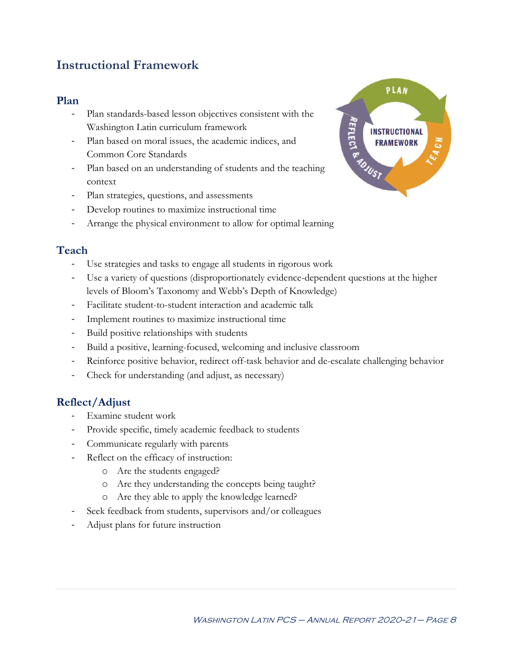## **Instructional Framework**

### **Plan**

- Plan standards-based lesson objectives consistent with the Washington Latin curriculum framework
- Plan based on moral issues, the academic indices, and Common Core Standards
- Plan based on an understanding of students and the teaching context
- Plan strategies, questions, and assessments
- Develop routines to maximize instructional time
- Arrange the physical environment to allow for optimal learning



## **Teach**

- Use strategies and tasks to engage all students in rigorous work
- Use a variety of questions (disproportionately evidence-dependent questions at the higher levels of Bloom's Taxonomy and Webb's Depth of Knowledge)
- Facilitate student-to-student interaction and academic talk
- Implement routines to maximize instructional time
- Build positive relationships with students
- Build a positive, learning-focused, welcoming and inclusive classroom
- Reinforce positive behavior, redirect off-task behavior and de-escalate challenging behavior
- Check for understanding (and adjust, as necessary)

## **Reflect/Adjust**

- Examine student work
- Provide specific, timely academic feedback to students
- Communicate regularly with parents
- Reflect on the efficacy of instruction:
	- o Are the students engaged?
	- o Are they understanding the concepts being taught?
	- o Are they able to apply the knowledge learned?
- Seek feedback from students, supervisors and/or colleagues
- Adjust plans for future instruction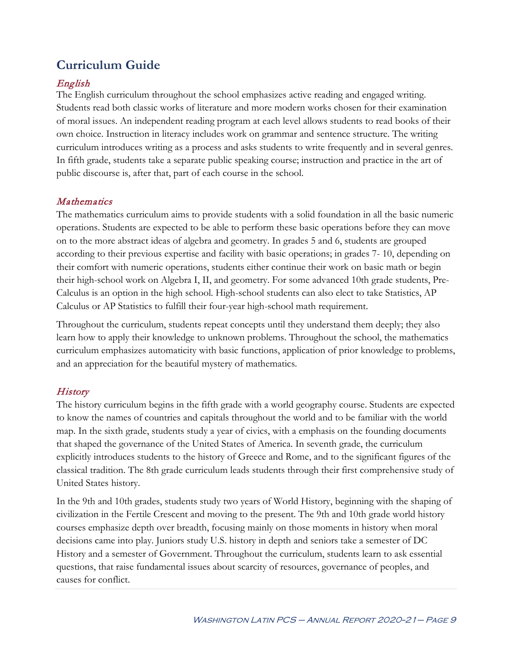## **Curriculum Guide**

### English

The English curriculum throughout the school emphasizes active reading and engaged writing. Students read both classic works of literature and more modern works chosen for their examination of moral issues. An independent reading program at each level allows students to read books of their own choice. Instruction in literacy includes work on grammar and sentence structure. The writing curriculum introduces writing as a process and asks students to write frequently and in several genres. In fifth grade, students take a separate public speaking course; instruction and practice in the art of public discourse is, after that, part of each course in the school.

### **Mathematics**

The mathematics curriculum aims to provide students with a solid foundation in all the basic numeric operations. Students are expected to be able to perform these basic operations before they can move on to the more abstract ideas of algebra and geometry. In grades 5 and 6, students are grouped according to their previous expertise and facility with basic operations; in grades 7- 10, depending on their comfort with numeric operations, students either continue their work on basic math or begin their high-school work on Algebra I, II, and geometry. For some advanced 10th grade students, Pre-Calculus is an option in the high school. High-school students can also elect to take Statistics, AP Calculus or AP Statistics to fulfill their four-year high-school math requirement.

Throughout the curriculum, students repeat concepts until they understand them deeply; they also learn how to apply their knowledge to unknown problems. Throughout the school, the mathematics curriculum emphasizes automaticity with basic functions, application of prior knowledge to problems, and an appreciation for the beautiful mystery of mathematics.

### **History**

The history curriculum begins in the fifth grade with a world geography course. Students are expected to know the names of countries and capitals throughout the world and to be familiar with the world map. In the sixth grade, students study a year of civics, with a emphasis on the founding documents that shaped the governance of the United States of America. In seventh grade, the curriculum explicitly introduces students to the history of Greece and Rome, and to the significant figures of the classical tradition. The 8th grade curriculum leads students through their first comprehensive study of United States history.

In the 9th and 10th grades, students study two years of World History, beginning with the shaping of civilization in the Fertile Crescent and moving to the present. The 9th and 10th grade world history courses emphasize depth over breadth, focusing mainly on those moments in history when moral decisions came into play. Juniors study U.S. history in depth and seniors take a semester of DC History and a semester of Government. Throughout the curriculum, students learn to ask essential questions, that raise fundamental issues about scarcity of resources, governance of peoples, and causes for conflict.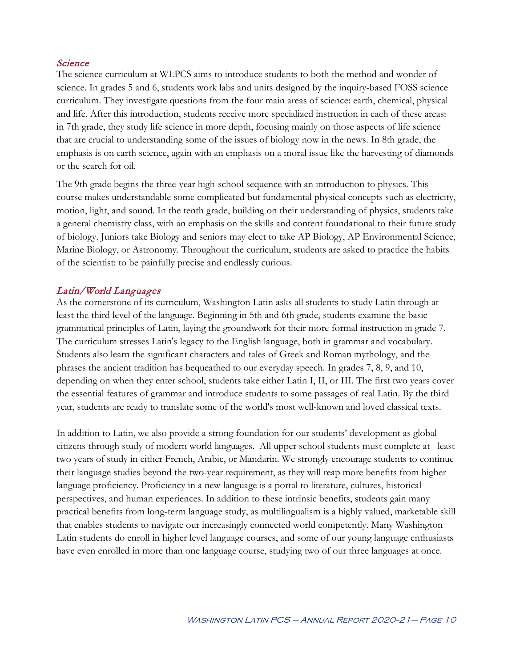### Science

The science curriculum at WLPCS aims to introduce students to both the method and wonder of science. In grades 5 and 6, students work labs and units designed by the inquiry-based FOSS science curriculum. They investigate questions from the four main areas of science: earth, chemical, physical and life. After this introduction, students receive more specialized instruction in each of these areas: in 7th grade, they study life science in more depth, focusing mainly on those aspects of life science that are crucial to understanding some of the issues of biology now in the news. In 8th grade, the emphasis is on earth science, again with an emphasis on a moral issue like the harvesting of diamonds or the search for oil.

The 9th grade begins the three-year high-school sequence with an introduction to physics. This course makes understandable some complicated but fundamental physical concepts such as electricity, motion, light, and sound. In the tenth grade, building on their understanding of physics, students take a general chemistry class, with an emphasis on the skills and content foundational to their future study of biology. Juniors take Biology and seniors may elect to take AP Biology, AP Environmental Science, Marine Biology, or Astronomy. Throughout the curriculum, students are asked to practice the habits of the scientist: to be painfully precise and endlessly curious.

#### Latin/World Languages

As the cornerstone of its curriculum, Washington Latin asks all students to study Latin through at least the third level of the language. Beginning in 5th and 6th grade, students examine the basic grammatical principles of Latin, laying the groundwork for their more formal instruction in grade 7. The curriculum stresses Latin's legacy to the English language, both in grammar and vocabulary. Students also learn the significant characters and tales of Greek and Roman mythology, and the phrases the ancient tradition has bequeathed to our everyday speech. In grades 7, 8, 9, and 10, depending on when they enter school, students take either Latin I, II, or III. The first two years cover the essential features of grammar and introduce students to some passages of real Latin. By the third year, students are ready to translate some of the world's most well-known and loved classical texts.

In addition to Latin, we also provide a strong foundation for our students' development as global citizens through study of modern world languages. All upper school students must complete at least two years of study in either French, Arabic, or Mandarin. We strongly encourage students to continue their language studies beyond the two-year requirement, as they will reap more benefits from higher language proficiency. Proficiency in a new language is a portal to literature, cultures, historical perspectives, and human experiences. In addition to these intrinsic benefits, students gain many practical benefits from long-term language study, as multilingualism is a highly valued, marketable skill that enables students to navigate our increasingly connected world competently. Many Washington Latin students do enroll in higher level language courses, and some of our young language enthusiasts have even enrolled in more than one language course, studying two of our three languages at once.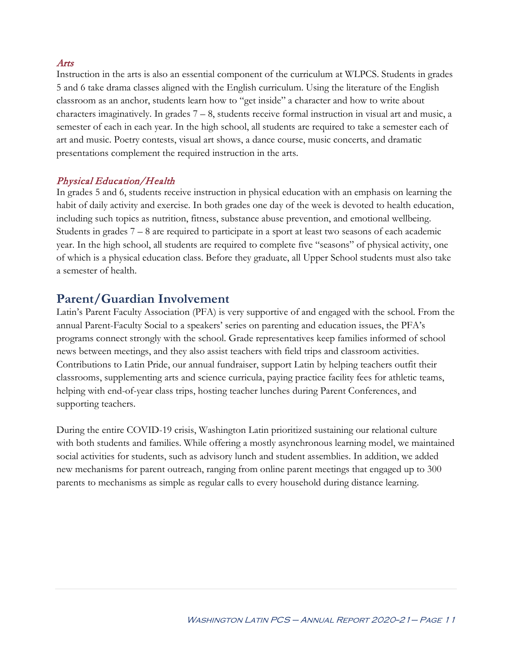#### Arts

Instruction in the arts is also an essential component of the curriculum at WLPCS. Students in grades 5 and 6 take drama classes aligned with the English curriculum. Using the literature of the English classroom as an anchor, students learn how to "get inside" a character and how to write about characters imaginatively. In grades 7 – 8, students receive formal instruction in visual art and music, a semester of each in each year. In the high school, all students are required to take a semester each of art and music. Poetry contests, visual art shows, a dance course, music concerts, and dramatic presentations complement the required instruction in the arts.

#### Physical Education/Health

In grades 5 and 6, students receive instruction in physical education with an emphasis on learning the habit of daily activity and exercise. In both grades one day of the week is devoted to health education, including such topics as nutrition, fitness, substance abuse prevention, and emotional wellbeing. Students in grades 7 – 8 are required to participate in a sport at least two seasons of each academic year. In the high school, all students are required to complete five "seasons" of physical activity, one of which is a physical education class. Before they graduate, all Upper School students must also take a semester of health.

## **Parent/Guardian Involvement**

Latin's Parent Faculty Association (PFA) is very supportive of and engaged with the school. From the annual Parent-Faculty Social to a speakers' series on parenting and education issues, the PFA's programs connect strongly with the school. Grade representatives keep families informed of school news between meetings, and they also assist teachers with field trips and classroom activities. Contributions to Latin Pride, our annual fundraiser, support Latin by helping teachers outfit their classrooms, supplementing arts and science curricula, paying practice facility fees for athletic teams, helping with end-of-year class trips, hosting teacher lunches during Parent Conferences, and supporting teachers.

During the entire COVID-19 crisis, Washington Latin prioritized sustaining our relational culture with both students and families. While offering a mostly asynchronous learning model, we maintained social activities for students, such as advisory lunch and student assemblies. In addition, we added new mechanisms for parent outreach, ranging from online parent meetings that engaged up to 300 parents to mechanisms as simple as regular calls to every household during distance learning.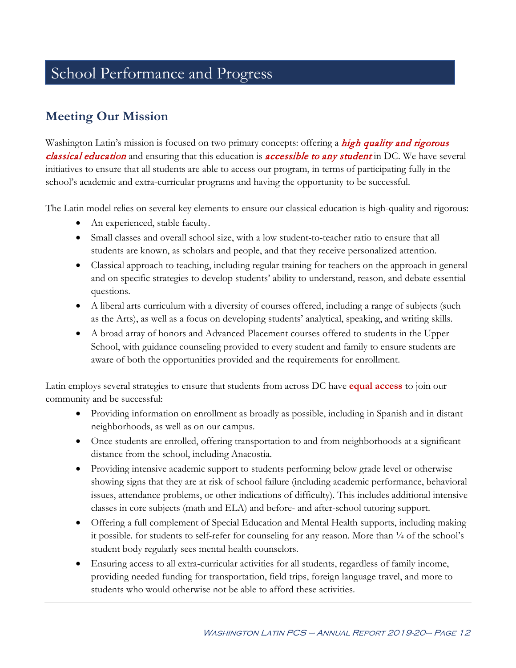## School Performance and Progress

## **Meeting Our Mission**

Washington Latin's mission is focused on two primary concepts: offering a high quality and rigorous classical education and ensuring that this education is accessible to any student in DC. We have several initiatives to ensure that all students are able to access our program, in terms of participating fully in the school's academic and extra-curricular programs and having the opportunity to be successful.

The Latin model relies on several key elements to ensure our classical education is high-quality and rigorous:

- An experienced, stable faculty.
- Small classes and overall school size, with a low student-to-teacher ratio to ensure that all students are known, as scholars and people, and that they receive personalized attention.
- Classical approach to teaching, including regular training for teachers on the approach in general and on specific strategies to develop students' ability to understand, reason, and debate essential questions.
- A liberal arts curriculum with a diversity of courses offered, including a range of subjects (such as the Arts), as well as a focus on developing students' analytical, speaking, and writing skills.
- A broad array of honors and Advanced Placement courses offered to students in the Upper School, with guidance counseling provided to every student and family to ensure students are aware of both the opportunities provided and the requirements for enrollment.

Latin employs several strategies to ensure that students from across DC have **equal access** to join our community and be successful:

- Providing information on enrollment as broadly as possible, including in Spanish and in distant neighborhoods, as well as on our campus.
- Once students are enrolled, offering transportation to and from neighborhoods at a significant distance from the school, including Anacostia.
- Providing intensive academic support to students performing below grade level or otherwise showing signs that they are at risk of school failure (including academic performance, behavioral issues, attendance problems, or other indications of difficulty). This includes additional intensive classes in core subjects (math and ELA) and before- and after-school tutoring support.
- Offering a full complement of Special Education and Mental Health supports, including making it possible. for students to self-refer for counseling for any reason. More than  $\frac{1}{4}$  of the school's student body regularly sees mental health counselors.
- Ensuring access to all extra-curricular activities for all students, regardless of family income, providing needed funding for transportation, field trips, foreign language travel, and more to students who would otherwise not be able to afford these activities.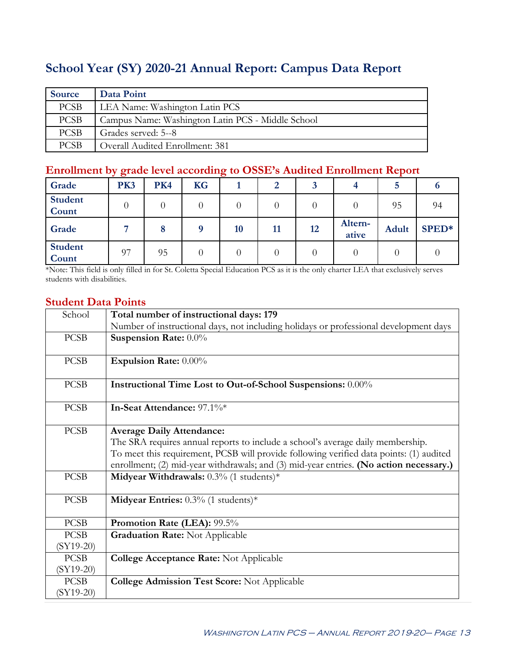## **School Year (SY) 2020-21 Annual Report: Campus Data Report**

| Source      | Data Point                                        |
|-------------|---------------------------------------------------|
| <b>PCSB</b> | LEA Name: Washington Latin PCS                    |
| <b>PCSB</b> | Campus Name: Washington Latin PCS - Middle School |
| <b>PCSB</b> | Grades served: 5--8                               |
| <b>PCSB</b> | Overall Audited Enrollment: 381                   |

## **Enrollment by grade level according to OSSE's Audited Enrollment Report**

| Grade                   | PK3            | <b>PK4</b> | <b>KG</b>        |    | $\overline{2}$ | w  | 4                | 5            |       |
|-------------------------|----------------|------------|------------------|----|----------------|----|------------------|--------------|-------|
| <b>Student</b><br>Count | $\overline{0}$ |            | $\theta$         |    |                |    |                  | 95           | 94    |
| Grade                   |                | 8          | Q                | 10 | 11             | 12 | Altern-<br>ative | <b>Adult</b> | SPED* |
| <b>Student</b><br>Count | 97             | 95         | $\left( \right)$ |    |                |    |                  |              |       |

\*Note: This field is only filled in for St. Coletta Special Education PCS as it is the only charter LEA that exclusively serves students with disabilities.

### **Student Data Points**

| School      | Total number of instructional days: 179                                                 |
|-------------|-----------------------------------------------------------------------------------------|
|             | Number of instructional days, not including holidays or professional development days   |
| <b>PCSB</b> | Suspension Rate: 0.0%                                                                   |
| <b>PCSB</b> | Expulsion Rate: 0.00%                                                                   |
| <b>PCSB</b> | Instructional Time Lost to Out-of-School Suspensions: 0.00%                             |
| <b>PCSB</b> | In-Seat Attendance: 97.1%*                                                              |
| <b>PCSB</b> | <b>Average Daily Attendance:</b>                                                        |
|             | The SRA requires annual reports to include a school's average daily membership.         |
|             | To meet this requirement, PCSB will provide following verified data points: (1) audited |
|             | enrollment; (2) mid-year withdrawals; and (3) mid-year entries. (No action necessary.)  |
| <b>PCSB</b> | Midyear Withdrawals: $0.3\%$ (1 students)*                                              |
| <b>PCSB</b> | <b>Midyear Entries:</b> $0.3\%$ (1 students)*                                           |
|             |                                                                                         |
| <b>PCSB</b> | Promotion Rate (LEA): 99.5%                                                             |
| <b>PCSB</b> | <b>Graduation Rate: Not Applicable</b>                                                  |
| $(SY19-20)$ |                                                                                         |
| <b>PCSB</b> | <b>College Acceptance Rate: Not Applicable</b>                                          |
| $(SY19-20)$ |                                                                                         |
| <b>PCSB</b> | <b>College Admission Test Score: Not Applicable</b>                                     |
| $(SY19-20)$ |                                                                                         |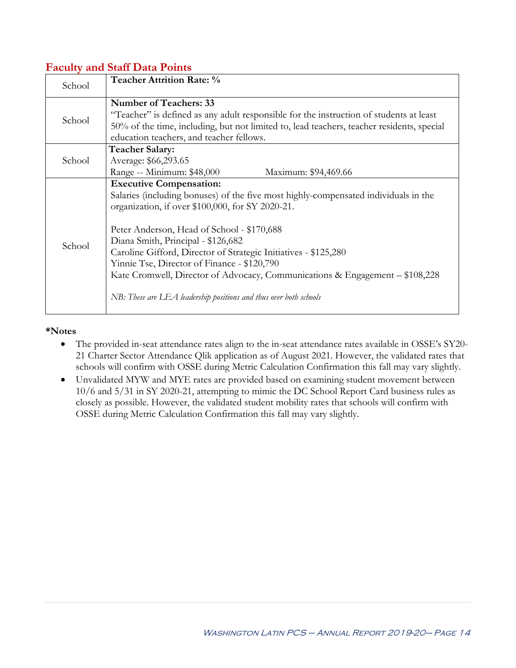## **Faculty and Staff Data Points**

| School | <b>Teacher Attrition Rate: %</b>                                                                                                                                                                                                                                                                                                                                                                                                                                                                                                     |  |  |
|--------|--------------------------------------------------------------------------------------------------------------------------------------------------------------------------------------------------------------------------------------------------------------------------------------------------------------------------------------------------------------------------------------------------------------------------------------------------------------------------------------------------------------------------------------|--|--|
| School | <b>Number of Teachers: 33</b><br>"Teacher" is defined as any adult responsible for the instruction of students at least<br>50% of the time, including, but not limited to, lead teachers, teacher residents, special<br>education teachers, and teacher fellows.                                                                                                                                                                                                                                                                     |  |  |
| School | <b>Teacher Salary:</b><br>Average: \$66,293.65<br>Range -- Minimum: \$48,000<br>Maximum: \$94,469.66                                                                                                                                                                                                                                                                                                                                                                                                                                 |  |  |
| School | <b>Executive Compensation:</b><br>Salaries (including bonuses) of the five most highly-compensated individuals in the<br>organization, if over \$100,000, for SY 2020-21.<br>Peter Anderson, Head of School - \$170,688<br>Diana Smith, Principal - \$126,682<br>Caroline Gifford, Director of Strategic Initiatives - \$125,280<br>Yinnie Tse, Director of Finance - \$120,790<br>Kate Cromwell, Director of Advocacy, Communications & Engagement - \$108,228<br>NB: These are LEA leadership positions and thus over both schools |  |  |

#### **\*Notes**

- The provided in-seat attendance rates align to the in-seat attendance rates available in OSSE's SY20- 21 Charter Sector Attendance Qlik application as of August 2021. However, the validated rates that schools will confirm with OSSE during Metric Calculation Confirmation this fall may vary slightly.
- Unvalidated MYW and MYE rates are provided based on examining student movement between 10/6 and 5/31 in SY 2020-21, attempting to mimic the DC School Report Card business rules as closely as possible. However, the validated student mobility rates that schools will confirm with OSSE during Metric Calculation Confirmation this fall may vary slightly.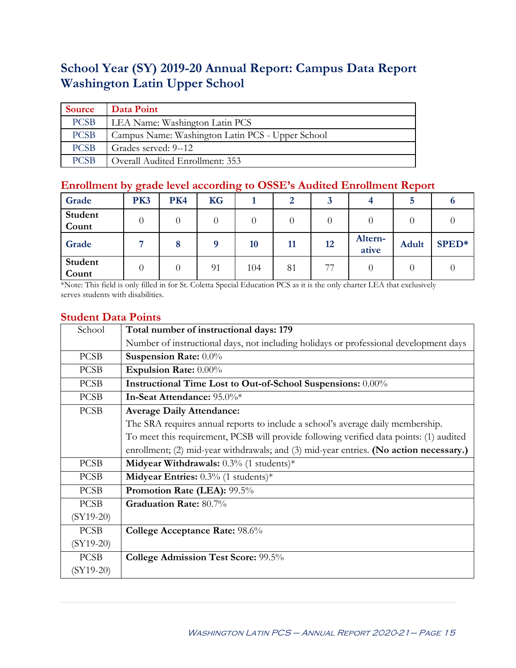## **School Year (SY) 2019-20 Annual Report: Campus Data Report Washington Latin Upper School**

| <b>Source</b> | Data Point                                       |
|---------------|--------------------------------------------------|
| <b>PCSB</b>   | LEA Name: Washington Latin PCS                   |
| <b>PCSB</b>   | Campus Name: Washington Latin PCS - Upper School |
| <b>PCSB</b>   | Grades served: 9--12                             |
| <b>PCSB</b>   | Overall Audited Enrollment: 353                  |

### **Enrollment by grade level according to OSSE's Audited Enrollment Report**

| Grade            | $\tilde{\phantom{a}}$<br>PK3 | <b>PK4</b> | <b>KG</b> | <u>~</u> | 2  |    |                  | $\sim$<br>5  |       |
|------------------|------------------------------|------------|-----------|----------|----|----|------------------|--------------|-------|
| Student<br>Count | $\overline{0}$               |            | 0         |          |    |    | 0                |              |       |
| Grade            |                              | $\circ$    |           | 10       | 11 | 12 | Altern-<br>ative | <b>Adult</b> | SPED* |
| Student<br>Count | 0                            |            | 91        | 104      | 81 | 77 | 0                |              |       |

\*Note: This field is only filled in for St. Coletta Special Education PCS as it is the only charter LEA that exclusively serves students with disabilities.

## **Student Data Points**

| School      | Total number of instructional days: 179                                                 |
|-------------|-----------------------------------------------------------------------------------------|
|             | Number of instructional days, not including holidays or professional development days   |
| <b>PCSB</b> | Suspension Rate: 0.0%                                                                   |
| <b>PCSB</b> | <b>Expulsion Rate: 0.00%</b>                                                            |
| <b>PCSB</b> | Instructional Time Lost to Out-of-School Suspensions: 0.00%                             |
| <b>PCSB</b> | In-Seat Attendance: 95.0%*                                                              |
| <b>PCSB</b> | <b>Average Daily Attendance:</b>                                                        |
|             | The SRA requires annual reports to include a school's average daily membership.         |
|             | To meet this requirement, PCSB will provide following verified data points: (1) audited |
|             | enrollment; (2) mid-year withdrawals; and (3) mid-year entries. (No action necessary.)  |
| <b>PCSB</b> | <b>Midyear Withdrawals:</b> $0.3\%$ (1 students)*                                       |
| <b>PCSB</b> | <b>Midyear Entries:</b> $0.3\%$ (1 students)*                                           |
| <b>PCSB</b> | Promotion Rate (LEA): 99.5%                                                             |
| <b>PCSB</b> | Graduation Rate: 80.7%                                                                  |
| $(SY19-20)$ |                                                                                         |
| <b>PCSB</b> | College Acceptance Rate: 98.6%                                                          |
| $(SY19-20)$ |                                                                                         |
| <b>PCSB</b> | College Admission Test Score: 99.5%                                                     |
| $(SY19-20)$ |                                                                                         |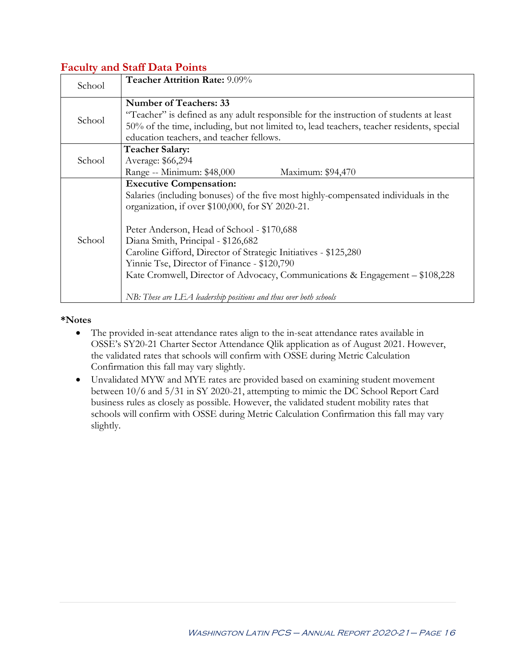## **Faculty and Staff Data Points**

| School | <b>Teacher Attrition Rate: 9.09%</b>                                                                                                                                                                                                                                                                                                                                                                                                                            |  |  |
|--------|-----------------------------------------------------------------------------------------------------------------------------------------------------------------------------------------------------------------------------------------------------------------------------------------------------------------------------------------------------------------------------------------------------------------------------------------------------------------|--|--|
| School | <b>Number of Teachers: 33</b><br>"Teacher" is defined as any adult responsible for the instruction of students at least                                                                                                                                                                                                                                                                                                                                         |  |  |
|        | 50% of the time, including, but not limited to, lead teachers, teacher residents, special<br>education teachers, and teacher fellows.                                                                                                                                                                                                                                                                                                                           |  |  |
|        | <b>Teacher Salary:</b>                                                                                                                                                                                                                                                                                                                                                                                                                                          |  |  |
| School | Average: \$66,294<br>Range -- Minimum: \$48,000<br>Maximum: \$94,470                                                                                                                                                                                                                                                                                                                                                                                            |  |  |
| School | <b>Executive Compensation:</b><br>Salaries (including bonuses) of the five most highly-compensated individuals in the<br>organization, if over \$100,000, for SY 2020-21.<br>Peter Anderson, Head of School - \$170,688<br>Diana Smith, Principal - \$126,682<br>Caroline Gifford, Director of Strategic Initiatives - \$125,280<br>Yinnie Tse, Director of Finance - \$120,790<br>Kate Cromwell, Director of Advocacy, Communications & Engagement - \$108,228 |  |  |
|        | NB: These are LEA leadership positions and thus over both schools                                                                                                                                                                                                                                                                                                                                                                                               |  |  |

#### **\*Notes**

- The provided in-seat attendance rates align to the in-seat attendance rates available in OSSE's SY20-21 Charter Sector Attendance Qlik application as of August 2021. However, the validated rates that schools will confirm with OSSE during Metric Calculation Confirmation this fall may vary slightly.
- Unvalidated MYW and MYE rates are provided based on examining student movement between 10/6 and 5/31 in SY 2020-21, attempting to mimic the DC School Report Card business rules as closely as possible. However, the validated student mobility rates that schools will confirm with OSSE during Metric Calculation Confirmation this fall may vary slightly.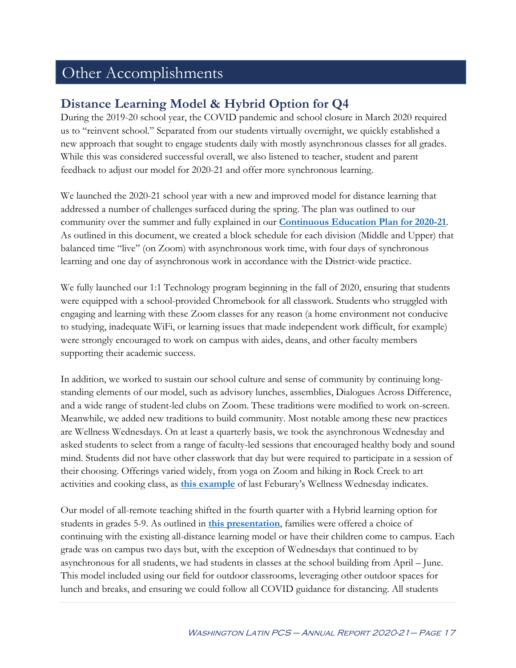## Other Accomplishments

## **Distance Learning Model & Hybrid Option for Q4**

During the 2019-20 school year, the COVID pandemic and school closure in March 2020 required us to "reinvent school." Separated from our students virtually overnight, we quickly established a new approach that sought to engage students daily with mostly asynchronous classes for all grades. While this was considered successful overall, we also listened to teacher, student and parent feedback to adjust our model for 2020-21 and offer more synchronous learning.

We launched the 2020-21 school year with a new and improved model for distance learning that addressed a number of challenges surfaced during the spring. The plan was outlined to our community over the summer and fully explained in our **[Continuous Education Plan for 2020-21](https://latinpcs.org/wp-content/uploads/2021/06/20-0807-WLPCS-LEA-Plan-for-OSSE-submission.pdf)**. As outlined in this document, we created a block schedule for each division (Middle and Upper) that balanced time "live" (on Zoom) with asynchronous work time, with four days of synchronous learning and one day of asynchronous work in accordance with the District-wide practice.

We fully launched our 1:1 Technology program beginning in the fall of 2020, ensuring that students were equipped with a school-provided Chromebook for all classwork. Students who struggled with engaging and learning with these Zoom classes for any reason (a home environment not conducive to studying, inadequate WiFi, or learning issues that made independent work difficult, for example) were strongly encouraged to work on campus with aides, deans, and other faculty members supporting their academic success.

In addition, we worked to sustain our school culture and sense of community by continuing longstanding elements of our model, such as advisory lunches, assemblies, Dialogues Across Difference, and a wide range of student-led clubs on Zoom. These traditions were modified to work on-screen. Meanwhile, we added new traditions to build community. Most notable among these new practices are Wellness Wednesdays. On at least a quarterly basis, we took the asynchronous Wednesday and asked students to select from a range of faculty-led sessions that encouraged healthy body and sound mind. Students did not have other classwork that day but were required to participate in a session of their choosing. Offerings varied widely, from yoga on Zoom and hiking in Rock Creek to art activities and cooking class, as **[this example](https://latinpcs.org/wp-content/uploads/2021/02/Wellness-Day-2.17.21-MS-Session-Descriptions-1.pdf)** of last Feburary's Wellness Wednesday indicates.

Our model of all-remote teaching shifted in the fourth quarter with a Hybrid learning option for students in grades 5-9. As outlined in **[this presentation](https://latinpcs.org/wp-content/uploads/2021/03/families-reopening-HYBRID-details-3-24-21-FINAL.pdf)**, families were offered a choice of continuing with the existing all-distance learning model or have their children come to campus. Each grade was on campus two days but, with the exception of Wednesdays that continued to by asynchronous for all students, we had students in classes at the school building from April – June. This model included using our field for outdoor classrooms, leveraging other outdoor spaces for lunch and breaks, and ensuring we could follow all COVID guidance for distancing. All students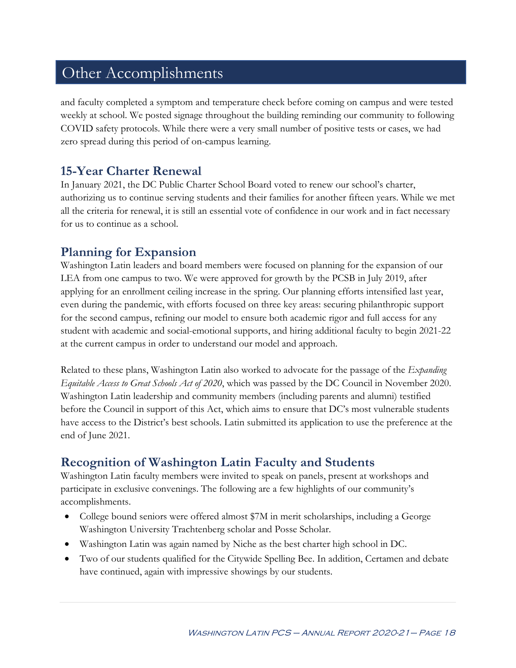## Other Accomplishments

and faculty completed a symptom and temperature check before coming on campus and were tested weekly at school. We posted signage throughout the building reminding our community to following COVID safety protocols. While there were a very small number of positive tests or cases, we had zero spread during this period of on-campus learning.

## **15-Year Charter Renewal**

In January 2021, the DC Public Charter School Board voted to renew our school's charter, authorizing us to continue serving students and their families for another fifteen years. While we met all the criteria for renewal, it is still an essential vote of confidence in our work and in fact necessary for us to continue as a school.

## **Planning for Expansion**

Washington Latin leaders and board members were focused on planning for the expansion of our LEA from one campus to two. We were approved for growth by the PCSB in July 2019, after applying for an enrollment ceiling increase in the spring. Our planning efforts intensified last year, even during the pandemic, with efforts focused on three key areas: securing philanthropic support for the second campus, refining our model to ensure both academic rigor and full access for any student with academic and social-emotional supports, and hiring additional faculty to begin 2021-22 at the current campus in order to understand our model and approach.

Related to these plans, Washington Latin also worked to advocate for the passage of the *Expanding Equitable Access to Great Schools Act of 2020*, which was passed by the DC Council in November 2020. Washington Latin leadership and community members (including parents and alumni) testified before the Council in support of this Act, which aims to ensure that DC's most vulnerable students have access to the District's best schools. Latin submitted its application to use the preference at the end of June 2021.

## **Recognition of Washington Latin Faculty and Students**

Washington Latin faculty members were invited to speak on panels, present at workshops and participate in exclusive convenings. The following are a few highlights of our community's accomplishments.

- College bound seniors were offered almost \$7M in merit scholarships, including a George Washington University Trachtenberg scholar and Posse Scholar.
- Washington Latin was again named by Niche as the best charter high school in DC.
- Two of our students qualified for the Citywide Spelling Bee. In addition, Certamen and debate have continued, again with impressive showings by our students.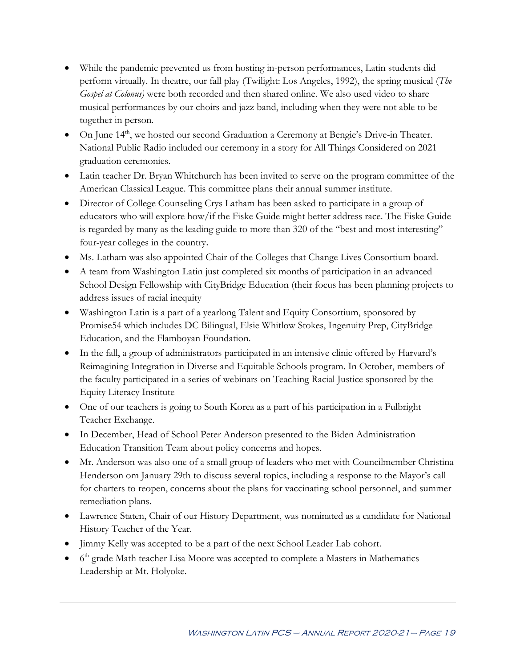- While the pandemic prevented us from hosting in-person performances, Latin students did perform virtually. In theatre, our fall play (Twilight: Los Angeles, 1992), the spring musical (*The Gospel at Colonus)* were both recorded and then shared online. We also used video to share musical performances by our choirs and jazz band, including when they were not able to be together in person.
- On June 14<sup>th</sup>, we hosted our second Graduation a Ceremony at Bengie's Drive-in Theater. National Public Radio included our ceremony in a story for All Things Considered on 2021 graduation ceremonies.
- Latin teacher Dr. Bryan Whitchurch has been invited to serve on the program committee of the American Classical League. This committee plans their annual summer institute.
- Director of College Counseling Crys Latham has been asked to participate in a group of educators who will explore how/if the Fiske Guide might better address race. The Fiske Guide is regarded by many as the leading guide to more than 320 of the "best and most interesting" four-year colleges in the country.
- Ms. Latham was also appointed Chair of the Colleges that Change Lives Consortium board.
- A team from Washington Latin just completed six months of participation in an advanced School Design Fellowship with CityBridge Education (their focus has been planning projects to address issues of racial inequity
- Washington Latin is a part of a yearlong Talent and Equity Consortium, sponsored by Promise54 which includes DC Bilingual, Elsie Whitlow Stokes, Ingenuity Prep, CityBridge Education, and the Flamboyan Foundation.
- In the fall, a group of administrators participated in an intensive clinic offered by Harvard's Reimagining Integration in Diverse and Equitable Schools program. In October, members of the faculty participated in a series of webinars on Teaching Racial Justice sponsored by the Equity Literacy Institute
- One of our teachers is going to South Korea as a part of his participation in a Fulbright Teacher Exchange.
- In December, Head of School Peter Anderson presented to the Biden Administration Education Transition Team about policy concerns and hopes.
- Mr. Anderson was also one of a small group of leaders who met with Councilmember Christina Henderson om January 29th to discuss several topics, including a response to the Mayor's call for charters to reopen, concerns about the plans for vaccinating school personnel, and summer remediation plans.
- Lawrence Staten, Chair of our History Department, was nominated as a candidate for National History Teacher of the Year.
- Jimmy Kelly was accepted to be a part of the next School Leader Lab cohort.
- $\bullet$  6<sup>th</sup> grade Math teacher Lisa Moore was accepted to complete a Masters in Mathematics Leadership at Mt. Holyoke.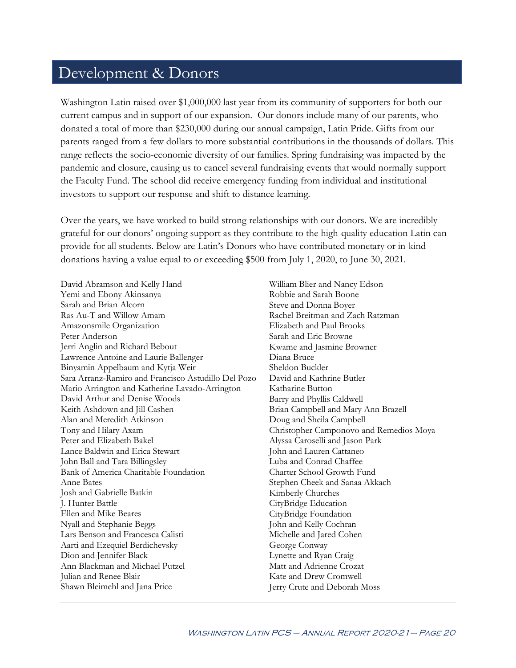## Development & Donors

Washington Latin raised over \$1,000,000 last year from its community of supporters for both our current campus and in support of our expansion. Our donors include many of our parents, who donated a total of more than \$230,000 during our annual campaign, Latin Pride. Gifts from our parents ranged from a few dollars to more substantial contributions in the thousands of dollars. This range reflects the socio-economic diversity of our families. Spring fundraising was impacted by the pandemic and closure, causing us to cancel several fundraising events that would normally support the Faculty Fund. The school did receive emergency funding from individual and institutional investors to support our response and shift to distance learning.

Over the years, we have worked to build strong relationships with our donors. We are incredibly grateful for our donors' ongoing support as they contribute to the high-quality education Latin can provide for all students. Below are Latin's Donors who have contributed monetary or in-kind donations having a value equal to or exceeding \$500 from July 1, 2020, to June 30, 2021.

David Abramson and Kelly Hand Yemi and Ebony Akinsanya Sarah and Brian Alcorn Ras Au-T and Willow Amam Amazonsmile Organization Peter Anderson Jerri Anglin and Richard Bebout Lawrence Antoine and Laurie Ballenger Binyamin Appelbaum and Kytja Weir Sara Arranz-Ramiro and Francisco Astudillo Del Pozo Mario Arrington and Katherine Lavado-Arrington David Arthur and Denise Woods Keith Ashdown and Jill Cashen Alan and Meredith Atkinson Tony and Hilary Axam Peter and Elizabeth Bakel Lance Baldwin and Erica Stewart John Ball and Tara Billingsley Bank of America Charitable Foundation Anne Bates Josh and Gabrielle Batkin J. Hunter Battle Ellen and Mike Beares Nyall and Stephanie Beggs Lars Benson and Francesca Calisti Aarti and Ezequiel Berdichevsky Dion and Jennifer Black Ann Blackman and Michael Putzel Julian and Renee Blair Shawn Bleimehl and Jana Price

William Blier and Nancy Edson Robbie and Sarah Boone Steve and Donna Boyer Rachel Breitman and Zach Ratzman Elizabeth and Paul Brooks Sarah and Eric Browne Kwame and Jasmine Browner Diana Bruce Sheldon Buckler David and Kathrine Butler Katharine Button Barry and Phyllis Caldwell Brian Campbell and Mary Ann Brazell Doug and Sheila Campbell Christopher Camponovo and Remedios Moya Alyssa Caroselli and Jason Park John and Lauren Cattaneo Luba and Conrad Chaffee Charter School Growth Fund Stephen Cheek and Sanaa Akkach Kimberly Churches CityBridge Education CityBridge Foundation John and Kelly Cochran Michelle and Jared Cohen George Conway Lynette and Ryan Craig Matt and Adrienne Crozat Kate and Drew Cromwell Jerry Crute and Deborah Moss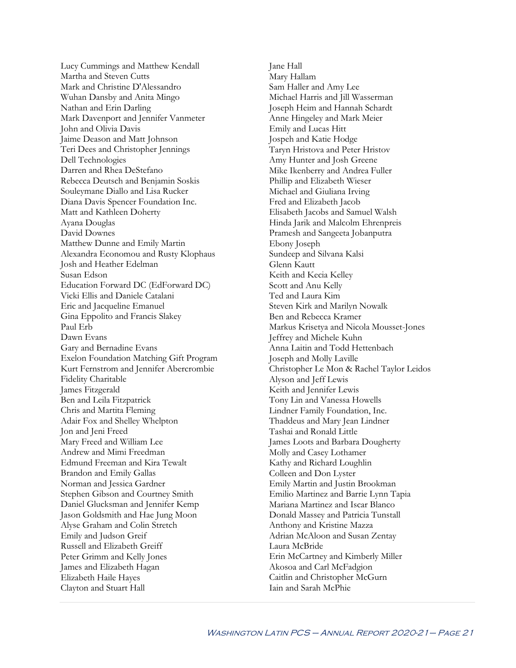Lucy Cummings and Matthew Kendall Martha and Steven Cutts Mark and Christine D'Alessandro Wuhan Dansby and Anita Mingo Nathan and Erin Darling Mark Davenport and Jennifer Vanmeter John and Olivia Davis Jaime Deason and Matt Johnson Teri Dees and Christopher Jennings Dell Technologies Darren and Rhea DeStefano Rebecca Deutsch and Benjamin Soskis Souleymane Diallo and Lisa Rucker Diana Davis Spencer Foundation Inc. Matt and Kathleen Doherty Ayana Douglas David Downes Matthew Dunne and Emily Martin Alexandra Economou and Rusty Klophaus Josh and Heather Edelman Susan Edson Education Forward DC (EdForward DC) Vicki Ellis and Daniele Catalani Eric and Jacqueline Emanuel Gina Eppolito and Francis Slakey Paul Erb Dawn Evans Gary and Bernadine Evans Exelon Foundation Matching Gift Program Kurt Fernstrom and Jennifer Abercrombie Fidelity Charitable James Fitzgerald Ben and Leila Fitzpatrick Chris and Martita Fleming Adair Fox and Shelley Whelpton Jon and Jeni Freed Mary Freed and William Lee Andrew and Mimi Freedman Edmund Freeman and Kira Tewalt Brandon and Emily Gallas Norman and Jessica Gardner Stephen Gibson and Courtney Smith Daniel Glucksman and Jennifer Kemp Jason Goldsmith and Hae Jung Moon Alyse Graham and Colin Stretch Emily and Judson Greif Russell and Elizabeth Greiff Peter Grimm and Kelly Jones James and Elizabeth Hagan Elizabeth Haile Hayes Clayton and Stuart Hall

Jane Hall Mary Hallam Sam Haller and Amy Lee Michael Harris and Jill Wasserman Joseph Heim and Hannah Schardt Anne Hingeley and Mark Meier Emily and Lucas Hitt Jospeh and Katie Hodge Taryn Hristova and Peter Hristov Amy Hunter and Josh Greene Mike Ikenberry and Andrea Fuller Phillip and Elizabeth Wieser Michael and Giuliana Irving Fred and Elizabeth Jacob Elisabeth Jacobs and Samuel Walsh Hinda Jarik and Malcolm Ehrenpreis Pramesh and Sangeeta Jobanputra Ebony Joseph Sundeep and Silvana Kalsi Glenn Kautt Keith and Kecia Kelley Scott and Anu Kelly Ted and Laura Kim Steven Kirk and Marilyn Nowalk Ben and Rebecca Kramer Markus Krisetya and Nicola Mousset-Jones Jeffrey and Michele Kuhn Anna Laitin and Todd Hettenbach Joseph and Molly Laville Christopher Le Mon & Rachel Taylor Leidos Alyson and Jeff Lewis Keith and Jennifer Lewis Tony Lin and Vanessa Howells Lindner Family Foundation, Inc. Thaddeus and Mary Jean Lindner Tashai and Ronald Little James Loots and Barbara Dougherty Molly and Casey Lothamer Kathy and Richard Loughlin Colleen and Don Lyster Emily Martin and Justin Brookman Emilio Martinez and Barrie Lynn Tapia Mariana Martinez and Iscar Blanco Donald Massey and Patricia Tunstall Anthony and Kristine Mazza Adrian McAloon and Susan Zentay Laura McBride Erin McCartney and Kimberly Miller Akosoa and Carl McFadgion Caitlin and Christopher McGurn Iain and Sarah McPhie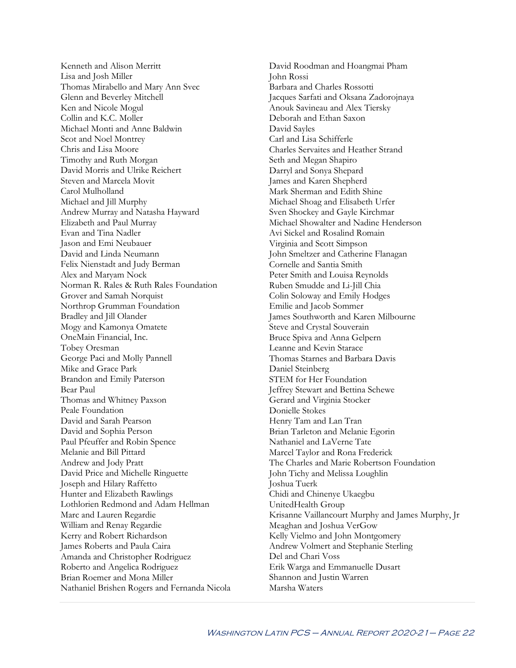Kenneth and Alison Merritt Lisa and Josh Miller Thomas Mirabello and Mary Ann Svec Glenn and Beverley Mitchell Ken and Nicole Mogul Collin and K.C. Moller Michael Monti and Anne Baldwin Scot and Noel Montrey Chris and Lisa Moore Timothy and Ruth Morgan David Morris and Ulrike Reichert Steven and Marcela Movit Carol Mulholland Michael and Jill Murphy Andrew Murray and Natasha Hayward Elizabeth and Paul Murray Evan and Tina Nadler Jason and Emi Neubauer David and Linda Neumann Felix Nienstadt and Judy Berman Alex and Maryam Nock Norman R. Rales & Ruth Rales Foundation Grover and Samah Norquist Northrop Grumman Foundation Bradley and Jill Olander Mogy and Kamonya Omatete OneMain Financial, Inc. Tobey Oresman George Paci and Molly Pannell Mike and Grace Park Brandon and Emily Paterson Bear Paul Thomas and Whitney Paxson Peale Foundation David and Sarah Pearson David and Sophia Person Paul Pfeuffer and Robin Spence Melanie and Bill Pittard Andrew and Jody Pratt David Price and Michelle Ringuette Joseph and Hilary Raffetto Hunter and Elizabeth Rawlings Lothlorien Redmond and Adam Hellman Marc and Lauren Regardie William and Renay Regardie Kerry and Robert Richardson James Roberts and Paula Caira Amanda and Christopher Rodriguez Roberto and Angelica Rodriguez Brian Roemer and Mona Miller Nathaniel Brishen Rogers and Fernanda Nicola David Roodman and Hoangmai Pham John Rossi Barbara and Charles Rossotti Jacques Sarfati and Oksana Zadorojnaya Anouk Savineau and Alex Tiersky Deborah and Ethan Saxon David Sayles Carl and Lisa Schifferle Charles Servaites and Heather Strand Seth and Megan Shapiro Darryl and Sonya Shepard James and Karen Shepherd Mark Sherman and Edith Shine Michael Shoag and Elisabeth Urfer Sven Shockey and Gayle Kirchmar Michael Showalter and Nadine Henderson Avi Sickel and Rosalind Romain Virginia and Scott Simpson John Smeltzer and Catherine Flanagan Cornelle and Santia Smith Peter Smith and Louisa Reynolds Ruben Smudde and Li-Jill Chia Colin Soloway and Emily Hodges Emilie and Jacob Sommer James Southworth and Karen Milbourne Steve and Crystal Souverain Bruce Spiva and Anna Gelpern Leanne and Kevin Starace Thomas Starnes and Barbara Davis Daniel Steinberg STEM for Her Foundation Jeffrey Stewart and Bettina Schewe Gerard and Virginia Stocker Donielle Stokes Henry Tam and Lan Tran Brian Tarleton and Melanie Egorin Nathaniel and LaVerne Tate Marcel Taylor and Rona Frederick The Charles and Marie Robertson Foundation John Tichy and Melissa Loughlin Joshua Tuerk Chidi and Chinenye Ukaegbu UnitedHealth Group Krisanne Vaillancourt Murphy and James Murphy, Jr Meaghan and Joshua VerGow Kelly Vielmo and John Montgomery Andrew Volmert and Stephanie Sterling Del and Chari Voss Erik Warga and Emmanuelle Dusart Shannon and Justin Warren Marsha Waters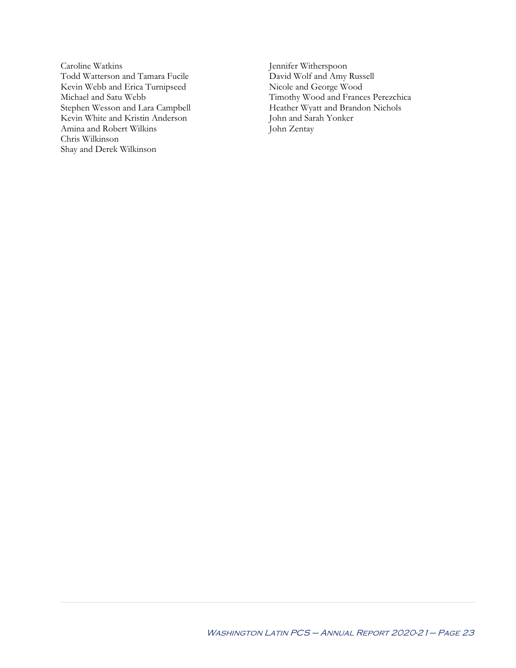Caroline Watkins Todd Watterson and Tamara Fucile Kevin Webb and Erica Turnipseed Michael and Satu Webb Stephen Wesson and Lara Campbell Kevin White and Kristin Anderson Amina and Robert Wilkins Chris Wilkinson Shay and Derek Wilkinson

Jennifer Witherspoon David Wolf and Amy Russell Nicole and George Wood Timothy Wood and Frances Perezchica Heather Wyatt and Brandon Nichols John and Sarah Yonker John Zentay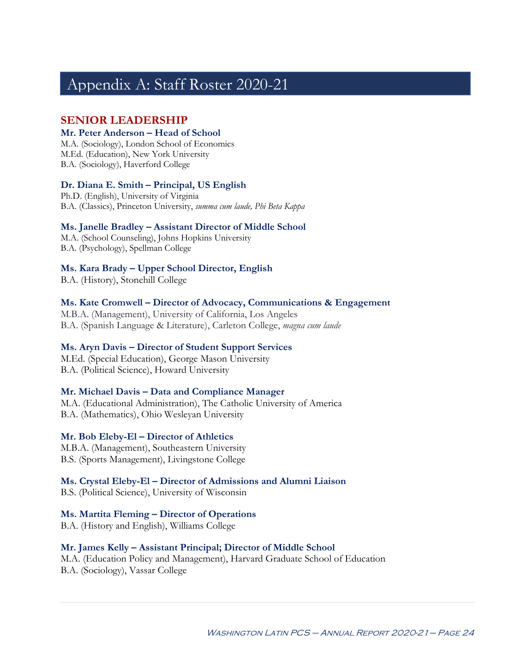## Appendix A: Staff Roster 2020-21

### **SENIOR LEADERSHIP**

#### **Mr. Peter Anderson – Head of School**

M.A. (Sociology), London School of Economics M.Ed. (Education), New York University B.A. (Sociology), Haverford College

#### **Dr. Diana E. Smith – Principal, US English**

Ph.D. (English), University of Virginia B.A. (Classics), Princeton University, *summa cum laude, Phi Beta Kappa*

#### **Ms. Janelle Bradley – Assistant Director of Middle School**

M.A. (School Counseling), Johns Hopkins University B.A. (Psychology), Spellman College

### **Ms. Kara Brady – Upper School Director, English**

B.A. (History), Stonehill College

#### **Ms. Kate Cromwell – Director of Advocacy, Communications & Engagement**

M.B.A. (Management), University of California, Los Angeles B.A. (Spanish Language & Literature), Carleton College, *magna cum laude*

### **Ms. Aryn Davis – Director of Student Support Services**

M.Ed. (Special Education), George Mason University B.A. (Political Science), Howard University

#### **Mr. Michael Davis – Data and Compliance Manager**

M.A. (Educational Administration), The Catholic University of America B.A. (Mathematics), Ohio Wesleyan University

## **Mr. Bob Eleby-El – Director of Athletics**

M.B.A. (Management), Southeastern University B.S. (Sports Management), Livingstone College

#### **Ms. Crystal Eleby-El – Director of Admissions and Alumni Liaison**

B.S. (Political Science), University of Wisconsin

### **Ms. Martita Fleming – Director of Operations**

B.A. (History and English), Williams College

#### **Mr. James Kelly – Assistant Principal; Director of Middle School**

M.A. (Education Policy and Management), Harvard Graduate School of Education B.A. (Sociology), Vassar College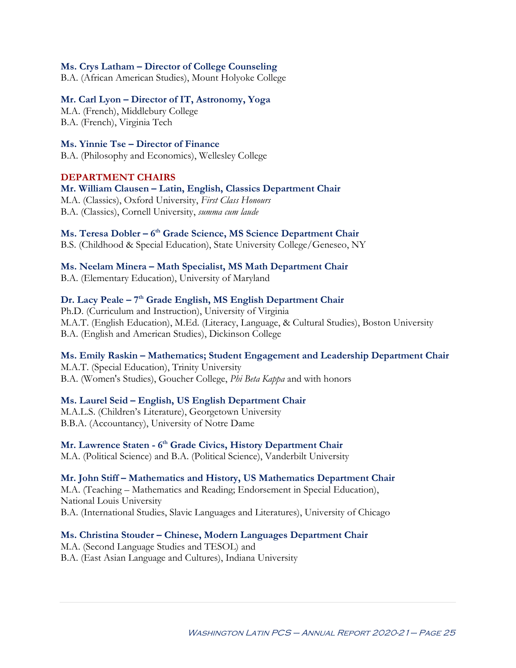#### **Ms. Crys Latham – Director of College Counseling**

B.A. (African American Studies), Mount Holyoke College

#### **Mr. Carl Lyon – Director of IT, Astronomy, Yoga**

M.A. (French), Middlebury College B.A. (French), Virginia Tech

#### **Ms. Yinnie Tse – Director of Finance**

B.A. (Philosophy and Economics), Wellesley College

#### **DEPARTMENT CHAIRS**

**Mr. William Clausen – Latin, English, Classics Department Chair** M.A. (Classics), Oxford University, *First Class Honours*

B.A. (Classics), Cornell University, *summa cum laude*

#### **Ms. Teresa Dobler – 6th Grade Science, MS Science Department Chair**

B.S. (Childhood & Special Education), State University College/Geneseo, NY

#### **Ms. Neelam Minera – Math Specialist, MS Math Department Chair**

B.A. (Elementary Education), University of Maryland

#### **Dr. Lacy Peale – 7th Grade English, MS English Department Chair**

Ph.D. (Curriculum and Instruction), University of Virginia M.A.T. (English Education), M.Ed. (Literacy, Language, & Cultural Studies), Boston University B.A. (English and American Studies), Dickinson College

#### **Ms. Emily Raskin – Mathematics; Student Engagement and Leadership Department Chair**

M.A.T. (Special Education), Trinity University B.A. (Women's Studies), Goucher College, *Phi Beta Kappa* and with honors

#### **Ms. Laurel Seid – English, US English Department Chair**

M.A.L.S. (Children's Literature), Georgetown University B.B.A. (Accountancy), University of Notre Dame

#### **Mr. Lawrence Staten - 6th Grade Civics, History Department Chair**

M.A. (Political Science) and B.A. (Political Science), Vanderbilt University

#### **Mr. John Stiff – Mathematics and History, US Mathematics Department Chair**

M.A. (Teaching – Mathematics and Reading; Endorsement in Special Education), National Louis University B.A. (International Studies, Slavic Languages and Literatures), University of Chicago

#### **Ms. Christina Stouder – Chinese, Modern Languages Department Chair**

M.A. (Second Language Studies and TESOL) and B.A. (East Asian Language and Cultures), Indiana University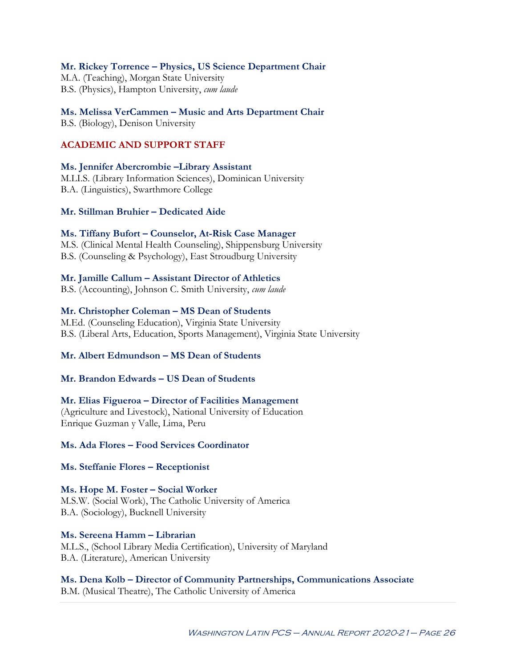#### **Mr. Rickey Torrence – Physics, US Science Department Chair**

M.A. (Teaching), Morgan State University B.S. (Physics), Hampton University, *cum laude*

#### **Ms. Melissa VerCammen – Music and Arts Department Chair**

B.S. (Biology), Denison University

#### **ACADEMIC AND SUPPORT STAFF**

**Ms. Jennifer Abercrombie –Library Assistant** M.LI.S. (Library Information Sciences), Dominican University B.A. (Linguistics), Swarthmore College

#### **Mr. Stillman Bruhier – Dedicated Aide**

#### **Ms. Tiffany Bufort – Counselor, At-Risk Case Manager**

M.S. (Clinical Mental Health Counseling), Shippensburg University B.S. (Counseling & Psychology), East Stroudburg University

**Mr. Jamille Callum – Assistant Director of Athletics**

B.S. (Accounting), Johnson C. Smith University, *cum laude*

#### **Mr. Christopher Coleman – MS Dean of Students**

M.Ed. (Counseling Education), Virginia State University B.S. (Liberal Arts, Education, Sports Management), Virginia State University

#### **Mr. Albert Edmundson – MS Dean of Students**

#### **Mr. Brandon Edwards – US Dean of Students**

**Mr. Elias Figueroa – Director of Facilities Management** (Agriculture and Livestock), National University of Education Enrique Guzman y Valle, Lima, Peru

#### **Ms. Ada Flores – Food Services Coordinator**

#### **Ms. Steffanie Flores – Receptionist**

**Ms. Hope M. Foster – Social Worker** M.S.W. (Social Work), The Catholic University of America B.A. (Sociology), Bucknell University

**Ms. Sereena Hamm – Librarian** M.L.S., (School Library Media Certification), University of Maryland B.A. (Literature), American University

#### **Ms. Dena Kolb – Director of Community Partnerships, Communications Associate**

B.M. (Musical Theatre), The Catholic University of America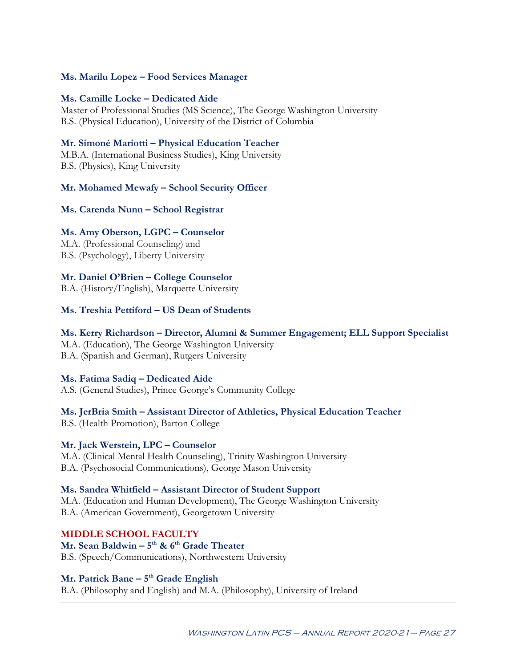#### **Ms. Marilu Lopez – Food Services Manager**

#### **Ms. Camille Locke – Dedicated Aide**

Master of Professional Studies (MS Science), The George Washington University B.S. (Physical Education), University of the District of Columbia

#### **Mr. Simoné Mariotti – Physical Education Teacher**

M.B.A. (International Business Studies), King University B.S. (Physics), King University

#### **Mr. Mohamed Mewafy – School Security Officer**

#### **Ms. Carenda Nunn – School Registrar**

#### **Ms. Amy Oberson, LGPC – Counselor**

M.A. (Professional Counseling) and B.S. (Psychology), Liberty University

#### **Mr. Daniel O'Brien – College Counselor**

B.A. (History/English), Marquette University

#### **Ms. Treshia Pettiford – US Dean of Students**

#### **Ms. Kerry Richardson – Director, Alumni & Summer Engagement; ELL Support Specialist**

M.A. (Education), The George Washington University B.A. (Spanish and German), Rutgers University

#### **Ms. Fatima Sadiq – Dedicated Aide**

A.S. (General Studies), Prince George's Community College

#### **Ms. JerBria Smith – Assistant Director of Athletics, Physical Education Teacher**

B.S. (Health Promotion), Barton College

#### **Mr. Jack Werstein, LPC – Counselor**

M.A. (Clinical Mental Health Counseling), Trinity Washington University B.A. (Psychosocial Communications), George Mason University

#### **Ms. Sandra Whitfield – Assistant Director of Student Support**

M.A. (Education and Human Development), The George Washington University B.A. (American Government), Georgetown University

#### **MIDDLE SCHOOL FACULTY**

**Mr. Sean Baldwin – 5th & 6th Grade Theater** B.S. (Speech/Communications), Northwestern University

### **Mr. Patrick Bane – 5th Grade English**

B.A. (Philosophy and English) and M.A. (Philosophy), University of Ireland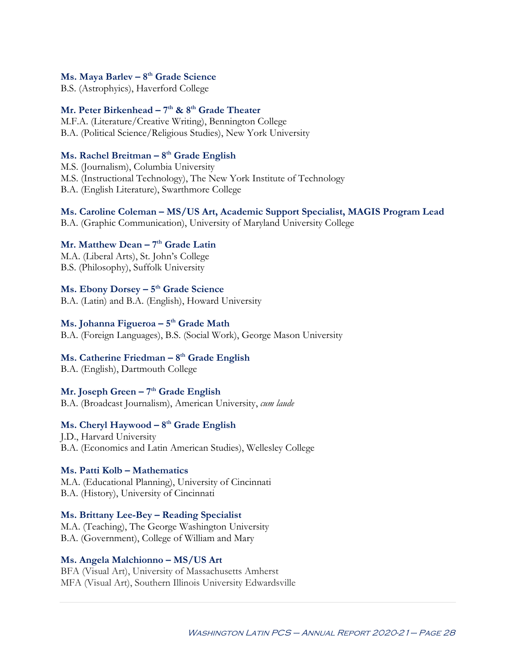#### **Ms. Maya Barlev – 8th Grade Science**

B.S. (Astrophyics), Haverford College

#### **Mr. Peter Birkenhead – 7th & 8th Grade Theater**

M.F.A. (Literature/Creative Writing), Bennington College B.A. (Political Science/Religious Studies), New York University

### **Ms. Rachel Breitman – 8th Grade English**

M.S. (Journalism), Columbia University M.S. (Instructional Technology), The New York Institute of Technology B.A. (English Literature), Swarthmore College

#### **Ms. Caroline Coleman – MS/US Art, Academic Support Specialist, MAGIS Program Lead**

B.A. (Graphic Communication), University of Maryland University College

#### **Mr. Matthew Dean – 7th Grade Latin**

M.A. (Liberal Arts), St. John's College B.S. (Philosophy), Suffolk University

## **Ms. Ebony Dorsey – 5th Grade Science**

B.A. (Latin) and B.A. (English), Howard University

#### **Ms. Johanna Figueroa – 5th Grade Math**

B.A. (Foreign Languages), B.S. (Social Work), George Mason University

#### **Ms. Catherine Friedman – 8th Grade English**

B.A. (English), Dartmouth College

#### **Mr. Joseph Green – 7th Grade English**

B.A. (Broadcast Journalism), American University, *cum laude*

#### **Ms. Cheryl Haywood – 8th Grade English**

J.D., Harvard University B.A. (Economics and Latin American Studies), Wellesley College

#### **Ms. Patti Kolb – Mathematics**

M.A. (Educational Planning), University of Cincinnati B.A. (History), University of Cincinnati

#### **Ms. Brittany Lee-Bey – Reading Specialist**

M.A. (Teaching), The George Washington University B.A. (Government), College of William and Mary

#### **Ms. Angela Malchionno – MS/US Art**

BFA (Visual Art), University of Massachusetts Amherst MFA (Visual Art), Southern Illinois University Edwardsville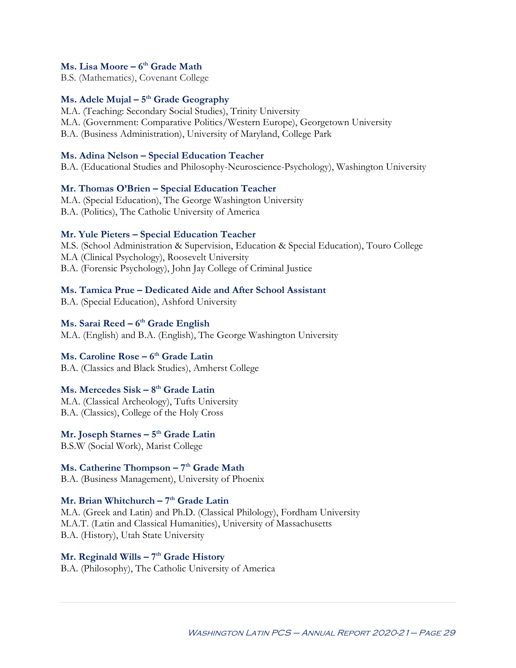#### **Ms. Lisa Moore – 6th Grade Math**

B.S. (Mathematics), Covenant College

#### **Ms. Adele Mujal – 5th Grade Geography**

M.A. (Teaching: Secondary Social Studies), Trinity University

- M.A. (Government: Comparative Politics/Western Europe), Georgetown University
- B.A. (Business Administration), University of Maryland, College Park

#### **Ms. Adina Nelson – Special Education Teacher**

B.A. (Educational Studies and Philosophy-Neuroscience-Psychology), Washington University

#### **Mr. Thomas O'Brien – Special Education Teacher**

M.A. (Special Education), The George Washington University B.A. (Politics), The Catholic University of America

#### **Mr. Yule Pieters – Special Education Teacher**

M.S. (School Administration & Supervision, Education & Special Education), Touro College M.A (Clinical Psychology), Roosevelt University B.A. (Forensic Psychology), John Jay College of Criminal Justice

#### **Ms. Tamica Prue – Dedicated Aide and After School Assistant**

B.A. (Special Education), Ashford University

#### **Ms. Sarai Reed – 6th Grade English**

M.A. (English) and B.A. (English), The George Washington University

#### **Ms. Caroline Rose – 6<sup>th</sup> Grade Latin**

B.A. (Classics and Black Studies), Amherst College

### **Ms. Mercedes Sisk – 8th Grade Latin**

M.A. (Classical Archeology), Tufts University B.A. (Classics), College of the Holy Cross

## **Mr. Joseph Starnes – 5th Grade Latin**

B.S.W (Social Work), Marist College

## **Ms. Catherine Thompson – 7th Grade Math**

B.A. (Business Management), University of Phoenix

#### **Mr. Brian Whitchurch – 7th Grade Latin**

M.A. (Greek and Latin) and Ph.D. (Classical Philology), Fordham University M.A.T. (Latin and Classical Humanities), University of Massachusetts B.A. (History), Utah State University

### **Mr. Reginald Wills – 7th Grade History**

B.A. (Philosophy), The Catholic University of America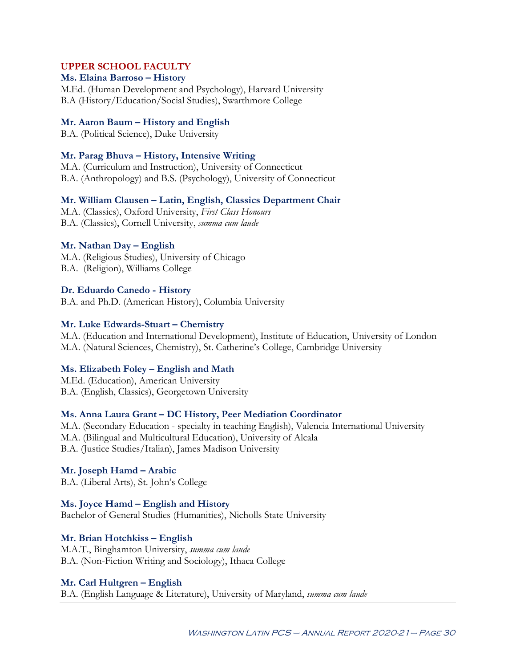### **UPPER SCHOOL FACULTY**

#### **Ms. Elaina Barroso – History**

M.Ed. (Human Development and Psychology), Harvard University B.A (History/Education/Social Studies), Swarthmore College

#### **Mr. Aaron Baum – History and English**

B.A. (Political Science), Duke University

#### **Mr. Parag Bhuva – History, Intensive Writing**

M.A. (Curriculum and Instruction), University of Connecticut B.A. (Anthropology) and B.S. (Psychology), University of Connecticut

#### **Mr. William Clausen – Latin, English, Classics Department Chair**

M.A. (Classics), Oxford University, *First Class Honours* B.A. (Classics), Cornell University, *summa cum laude*

#### **Mr. Nathan Day – English**

M.A. (Religious Studies), University of Chicago B.A. (Religion), Williams College

#### **Dr. Eduardo Canedo - History**

B.A. and Ph.D. (American History), Columbia University

#### **Mr. Luke Edwards-Stuart – Chemistry**

M.A. (Education and International Development), Institute of Education, University of London M.A. (Natural Sciences, Chemistry), St. Catherine's College, Cambridge University

#### **Ms. Elizabeth Foley – English and Math**

M.Ed. (Education), American University B.A. (English, Classics), Georgetown University

#### **Ms. Anna Laura Grant – DC History, Peer Mediation Coordinator**

M.A. (Secondary Education - specialty in teaching English), Valencia International University M.A. (Bilingual and Multicultural Education), University of Alcala B.A. (Justice Studies/Italian), James Madison University

#### **Mr. Joseph Hamd – Arabic**

B.A. (Liberal Arts), St. John's College

#### **Ms. Joyce Hamd – English and History**

Bachelor of General Studies (Humanities), Nicholls State University

#### **Mr. Brian Hotchkiss – English**

M.A.T., Binghamton University, *summa cum laude* B.A. (Non-Fiction Writing and Sociology), Ithaca College

#### **Mr. Carl Hultgren – English**

B.A. (English Language & Literature), University of Maryland, *summa cum laude*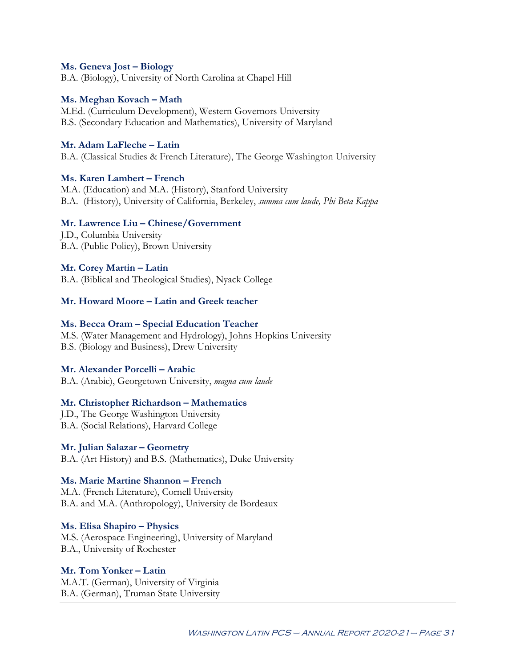#### **Ms. Geneva Jost – Biology**

B.A. (Biology), University of North Carolina at Chapel Hill

#### **Ms. Meghan Kovach – Math**

M.Ed. (Curriculum Development), Western Governors University B.S. (Secondary Education and Mathematics), University of Maryland

#### **Mr. Adam LaFleche – Latin**

B.A. (Classical Studies & French Literature), The George Washington University

#### **Ms. Karen Lambert – French**

M.A. (Education) and M.A. (History), Stanford University B.A. (History), University of California, Berkeley, *summa cum laude, Phi Beta Kappa*

#### **Mr. Lawrence Liu – Chinese/Government**

J.D., Columbia University B.A. (Public Policy), Brown University

**Mr. Corey Martin – Latin**

B.A. (Biblical and Theological Studies), Nyack College

#### **Mr. Howard Moore – Latin and Greek teacher**

#### **Ms. Becca Oram – Special Education Teacher**

M.S. (Water Management and Hydrology), Johns Hopkins University B.S. (Biology and Business), Drew University

#### **Mr. Alexander Porcelli – Arabic**

B.A. (Arabic), Georgetown University, *magna cum laude*

#### **Mr. Christopher Richardson – Mathematics**

J.D., The George Washington University B.A. (Social Relations), Harvard College

**Mr. Julian Salazar – Geometry** B.A. (Art History) and B.S. (Mathematics), Duke University

#### **Ms. Marie Martine Shannon – French**

M.A. (French Literature), Cornell University B.A. and M.A. (Anthropology), University de Bordeaux

**Ms. Elisa Shapiro – Physics** M.S. (Aerospace Engineering), University of Maryland B.A., University of Rochester

#### **Mr. Tom Yonker – Latin**

M.A.T. (German), University of Virginia B.A. (German), Truman State University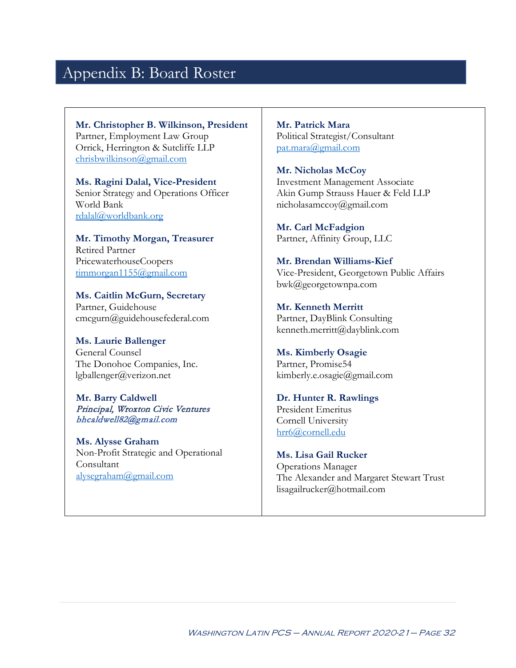## Appendix B: Board Roster

**Mr. Christopher B. Wilkinson, President** Partner, Employment Law Group Orrick, Herrington & Sutcliffe LLP [chrisbwilkinson@gmail.com](mailto:chrisbwilkinson@gmail.com)

**Ms. Ragini Dalal, Vice-President** Senior Strategy and Operations Officer World Bank [rdalal@worldbank.org](mailto:rdalal@worldbank.org)

**Mr. Timothy Morgan, Treasurer** Retired Partner PricewaterhouseCoopers [timmorgan1155@gmail.com](mailto:timmorgan1155@gmail.com)

**Ms. Caitlin McGurn, Secretary** Partner, Guidehouse cmcgurn@guidehousefederal.com

**Ms. Laurie Ballenger** General Counsel The Donohoe Companies, Inc. lgballenger@verizon.net

**Mr. Barry Caldwell** Principal, Wroxton Civic Ventures bhcaldwell82@gmail.com

**Ms. Alysse Graham** Non-Profit Strategic and Operational Consultant [alysegraham@gmail.com](mailto:alysegraham@gmail.com)

**Mr. Patrick Mara** Political Strategist/Consultant [pat.mara@gmail.com](mailto:pat.mara@gmail.com)

**Mr. Nicholas McCoy** Investment Management Associate Akin Gump Strauss Hauer & Feld LLP nicholasamccoy@gmail.com

**Mr. Carl McFadgion** Partner, Affinity Group, LLC

**Mr. Brendan Williams-Kief** Vice-President, Georgetown Public Affairs bwk@georgetownpa.com

**Mr. Kenneth Merritt** Partner, DayBlink Consulting kenneth.merritt@dayblink.com

#### **Ms. Kimberly Osagie** Partner, Promise54 kimberly.e.osagie@gmail.com

**Dr. Hunter R. Rawlings** President Emeritus Cornell University [hrr6@cornell.edu](mailto:hrr6@cornell.edu)

**Ms. Lisa Gail Rucker** Operations Manager The Alexander and Margaret Stewart Trust lisagailrucker@hotmail.com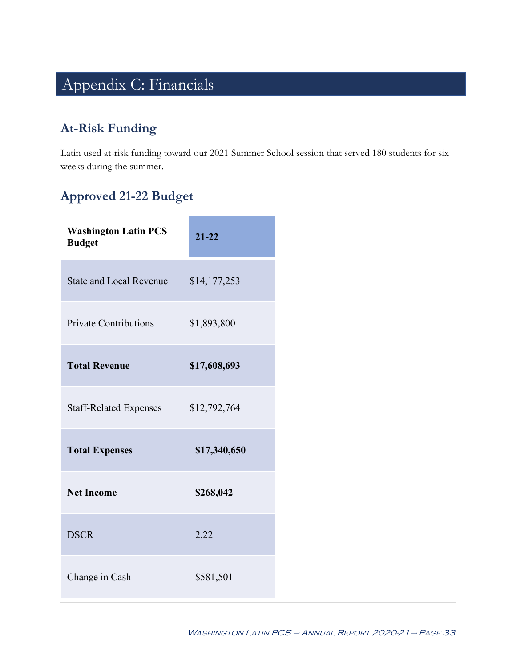# Appendix C: Financials

## **At-Risk Funding**

Latin used at-risk funding toward our 2021 Summer School session that served 180 students for six weeks during the summer.

## **Approved 21-22 Budget**

| <b>Washington Latin PCS</b><br><b>Budget</b> | $21 - 22$    |
|----------------------------------------------|--------------|
| <b>State and Local Revenue</b>               | \$14,177,253 |
| <b>Private Contributions</b>                 | \$1,893,800  |
| <b>Total Revenue</b>                         | \$17,608,693 |
| <b>Staff-Related Expenses</b>                | \$12,792,764 |
| <b>Total Expenses</b>                        | \$17,340,650 |
| <b>Net Income</b>                            | \$268,042    |
| <b>DSCR</b>                                  | 2.22         |
| Change in Cash                               | \$581,501    |